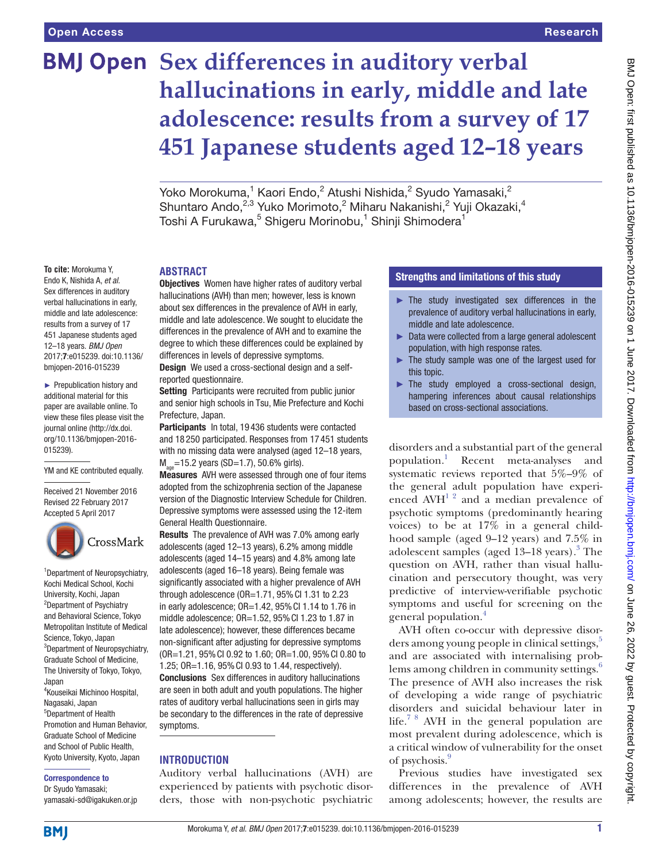# **BMJ Open** Sex differences in auditory verbal **hallucinations in early, middle and late adolescence: results from a survey of 17 451 Japanese students aged 12–18 years**

Yoko Morokuma, $^1$  Kaori Endo, $^2$  Atushi Nishida, $^2$  Syudo Yamasaki, $^2$ Shuntaro Ando,<sup>2,3</sup> Yuko Morimoto,<sup>2</sup> Miharu Nakanishi,<sup>2</sup> Yuji Okazaki,<sup>4</sup> Toshi A Furukawa, $^5$  Shigeru Morinobu, $^1$  Shinji Shimodera $^1$ 

## **To cite:** Morokuma Y,

Endo K, Nishida A, *et al*. Sex differences in auditory verbal hallucinations in early, middle and late adolescence: results from a survey of 17 451 Japanese students aged 12–18 years. *BMJ Open* 2017;7:e015239. doi:10.1136/ bmjopen-2016-015239

► Prepublication history and additional material for this paper are available online. To view these files please visit the journal online [\(http://dx.doi.](http://dx.doi.org/10.1136/bmjopen-2016-015239) [org/10.1136/bmjopen-2016-](http://dx.doi.org/10.1136/bmjopen-2016-015239) [015239\)](http://dx.doi.org/10.1136/bmjopen-2016-015239).

YM and KE contributed equally.

Received 21 November 2016 Revised 22 February 2017 [Accepted 5 April 2017](http://crossmark.crossref.org)



1 Department of Neuropsychiatry, Kochi Medical School, Kochi University, Kochi, Japan <sup>2</sup>Department of Psychiatry and Behavioral Science, Tokyo Metropolitan Institute of Medical Science, Tokyo, Japan <sup>3</sup>Department of Neuropsychiatry, Graduate School of Medicine, The University of Tokyo, Tokyo, Japan 4 Kouseikai Michinoo Hospital, Nagasaki, Japan 5 Department of Health Promotion and Human Behavior, Graduate School of Medicine and School of Public Health, Kyoto University, Kyoto, Japan

#### Correspondence to

Dr Syudo Yamasaki; yamasaki-sd@igakuken.or.jp

#### **Abstract**

**Objectives** Women have higher rates of auditory verbal hallucinations (AVH) than men; however, less is known about sex differences in the prevalence of AVH in early, middle and late adolescence. We sought to elucidate the differences in the prevalence of AVH and to examine the degree to which these differences could be explained by differences in levels of depressive symptoms. Design We used a cross-sectional design and a self-

reported questionnaire.

Setting Participants were recruited from public junior and senior high schools in Tsu, Mie Prefecture and Kochi Prefecture, Japan.

Participants In total, 19436 students were contacted and 18 250 participated. Responses from 17 451 students with no missing data were analysed (aged 12–18 years,  $M_{\text{gas}}$ =15.2 years (SD=1.7), 50.6% girls).

Measures AVH were assessed through one of four items adopted from the schizophrenia section of the Japanese version of the Diagnostic Interview Schedule for Children. Depressive symptoms were assessed using the 12-item General Health Questionnaire.

Results The prevalence of AVH was 7.0% among early adolescents (aged 12–13 years), 6.2% among middle adolescents (aged 14–15 years) and 4.8% among late adolescents (aged 16–18 years). Being female was significantly associated with a higher prevalence of AVH through adolescence (OR=1.71, 95%CI 1.31 to 2.23 in early adolescence; OR=1.42, 95%CI 1.14 to 1.76 in middle adolescence; OR=1.52, 95%CI 1.23 to 1.87 in late adolescence); however, these differences became non-significant after adjusting for depressive symptoms (OR=1.21, 95%CI 0.92 to 1.60; OR=1.00, 95%CI 0.80 to 1.25; OR=1.16, 95%CI 0.93 to 1.44, respectively). Conclusions Sex differences in auditory hallucinations are seen in both adult and youth populations. The higher rates of auditory verbal hallucinations seen in girls may be secondary to the differences in the rate of depressive symptoms.

#### **Introduction**

Auditory verbal hallucinations (AVH) are experienced by patients with psychotic disorders, those with non-psychotic psychiatric

#### Strengths and limitations of this study

- ► The study investigated sex differences in the prevalence of auditory verbal hallucinations in early, middle and late adolescence.
- ► Data were collected from a large general adolescent population, with high response rates.
- The study sample was one of the largest used for this topic.
- ► The study employed a cross-sectional design, hampering inferences about causal relationships based on cross-sectional associations.

disorders and a substantial part of the general population.<sup>1</sup> Recent meta-analyses and systematic reviews reported that 5%–9% of the general adult population have experienced  $A\text{VH}^{\frac{1}{2}}$  and a median prevalence of psychotic symptoms (predominantly hearing voices) to be at 17% in a general childhood sample (aged 9–12 years) and 7.5% in adolescent samples (aged 1[3](#page-3-1)-18 years).<sup>3</sup> The question on AVH, rather than visual hallucination and persecutory thought, was very predictive of interview-verifiable psychotic symptoms and useful for screening on the general population.[4](#page-3-2)

AVH often co-occur with depressive disor-ders among young people in clinical settings,<sup>[5](#page-3-3)</sup> and are associated with internalising problems among children in community settings.<sup>6</sup> The presence of AVH also increases the risk of developing a wide range of psychiatric disorders and suicidal behaviour later in life.<sup>[7 8](#page-3-5)</sup> AVH in the general population are most prevalent during adolescence, which is a critical window of vulnerability for the onset of psychosis.<sup>9</sup>

Previous studies have investigated sex differences in the prevalence of AVH among adolescents; however, the results are

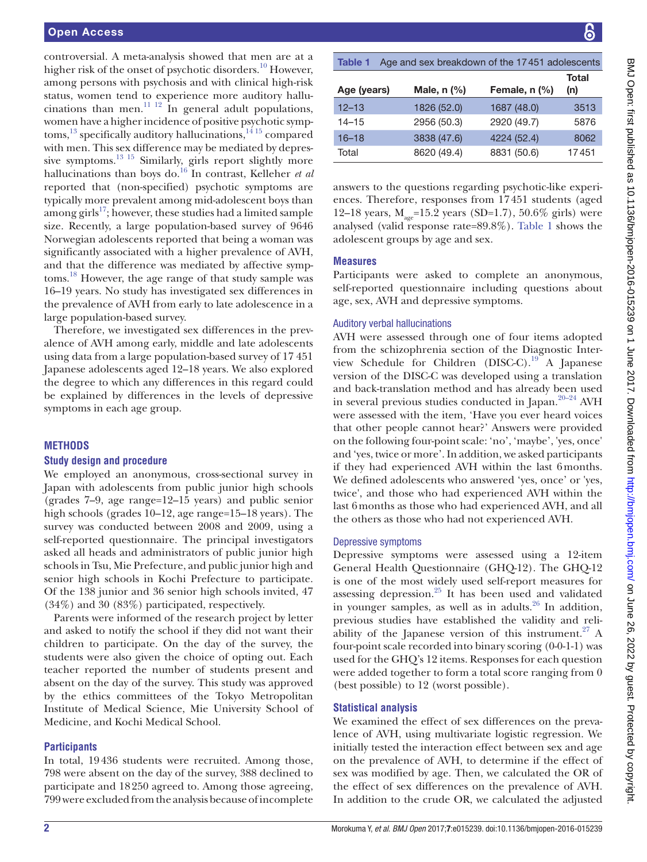controversial. A meta-analysis showed that men are at a higher risk of the onset of psychotic disorders.<sup>10</sup> However, among persons with psychosis and with clinical high-risk status, women tend to experience more auditory hallucinations than men.<sup>11 12</sup> In general adult populations, women have a higher incidence of positive psychotic symptoms,<sup>13</sup> specifically auditory hallucinations,<sup>1415</sup> compared with men. This sex difference may be mediated by depressive symptoms.<sup>13 15</sup> Similarly, girls report slightly more hallucinations than boys do.<sup>16</sup> In contrast, Kelleher *et al* reported that (non-specified) psychotic symptoms are typically more prevalent among mid-adolescent boys than among girls $17$ ; however, these studies had a limited sample size. Recently, a large population-based survey of 9646 Norwegian adolescents reported that being a woman was significantly associated with a higher prevalence of AVH, and that the difference was mediated by affective symptoms[.18](#page-4-2) However, the age range of that study sample was 16–19 years. No study has investigated sex differences in the prevalence of AVH from early to late adolescence in a large population-based survey.

Therefore, we investigated sex differences in the prevalence of AVH among early, middle and late adolescents using data from a large population-based survey of 17 451 Japanese adolescents aged 12–18 years. We also explored the degree to which any differences in this regard could be explained by differences in the levels of depressive symptoms in each age group.

### **Methods**

#### **Study design and procedure**

We employed an anonymous, cross-sectional survey in Japan with adolescents from public junior high schools (grades 7–9, age range=12–15 years) and public senior high schools (grades 10–12, age range=15–18 years). The survey was conducted between 2008 and 2009, using a self-reported questionnaire. The principal investigators asked all heads and administrators of public junior high schools in Tsu, Mie Prefecture, and public junior high and senior high schools in Kochi Prefecture to participate. Of the 138 junior and 36 senior high schools invited, 47 (34%) and 30 (83%) participated, respectively.

Parents were informed of the research project by letter and asked to notify the school if they did not want their children to participate. On the day of the survey, the students were also given the choice of opting out. Each teacher reported the number of students present and absent on the day of the survey. This study was approved by the ethics committees of the Tokyo Metropolitan Institute of Medical Science, Mie University School of Medicine, and Kochi Medical School.

### **Participants**

In total, 19436 students were recruited. Among those, 798 were absent on the day of the survey, 388 declined to participate and 18250 agreed to. Among those agreeing, 799 were excluded from the analysis because of incomplete

<span id="page-1-0"></span>

| Age and sex breakdown of the 17451 adolescents<br><b>Table 1</b> |             |               |              |  |  |  |  |
|------------------------------------------------------------------|-------------|---------------|--------------|--|--|--|--|
| Age (years)                                                      | Male, n (%) | Female, n (%) | Total<br>(n) |  |  |  |  |
| $12 - 13$                                                        | 1826 (52.0) | 1687 (48.0)   | 3513         |  |  |  |  |
| $14 - 15$                                                        | 2956 (50.3) | 2920 (49.7)   | 5876         |  |  |  |  |
| $16 - 18$                                                        | 3838 (47.6) | 4224 (52.4)   | 8062         |  |  |  |  |
| Total                                                            | 8620 (49.4) | 8831 (50.6)   | 17451        |  |  |  |  |

answers to the questions regarding psychotic-like experiences. Therefore, responses from 17451 students (aged 12–18 years,  $M_{\text{age}}$ =15.2 years (SD=1.7), 50.6% girls) were analysed (valid response rate=89.8%). [Table](#page-1-0) 1 shows the adolescent groups by age and sex.

#### **Measures**

Participants were asked to complete an anonymous, self-reported questionnaire including questions about age, sex, AVH and depressive symptoms.

#### Auditory verbal hallucinations

AVH were assessed through one of four items adopted from the schizophrenia section of the Diagnostic Interview Schedule for Children (DISC-C).[19](#page-4-3) A Japanese version of the DISC-C was developed using a translation and back-translation method and has already been used in several previous studies conducted in Japan.<sup>20–24</sup> AVH were assessed with the item, 'Have you ever heard voices that other people cannot hear?' Answers were provided on the following four-point scale: 'no', 'maybe', 'yes, once' and 'yes, twice or more'. In addition, we asked participants if they had experienced AVH within the last 6months. We defined adolescents who answered 'yes, once' or 'yes, twice', and those who had experienced AVH within the last 6months as those who had experienced AVH, and all the others as those who had not experienced AVH.

#### Depressive symptoms

Depressive symptoms were assessed using a 12-item General Health Questionnaire (GHQ-12). The GHQ-12 is one of the most widely used self-report measures for assessing depression. $^{25}$  It has been used and validated in younger samples, as well as in adults. $26$  In addition, previous studies have established the validity and reliability of the Japanese version of this instrument.<sup>27</sup> A four-point scale recorded into binary scoring (0-0-1-1) was used for the GHQ's 12 items. Responses for each question were added together to form a total score ranging from 0 (best possible) to 12 (worst possible).

### **Statistical analysis**

We examined the effect of sex differences on the prevalence of AVH, using multivariate logistic regression. We initially tested the interaction effect between sex and age on the prevalence of AVH, to determine if the effect of sex was modified by age. Then, we calculated the OR of the effect of sex differences on the prevalence of AVH. In addition to the crude OR, we calculated the adjusted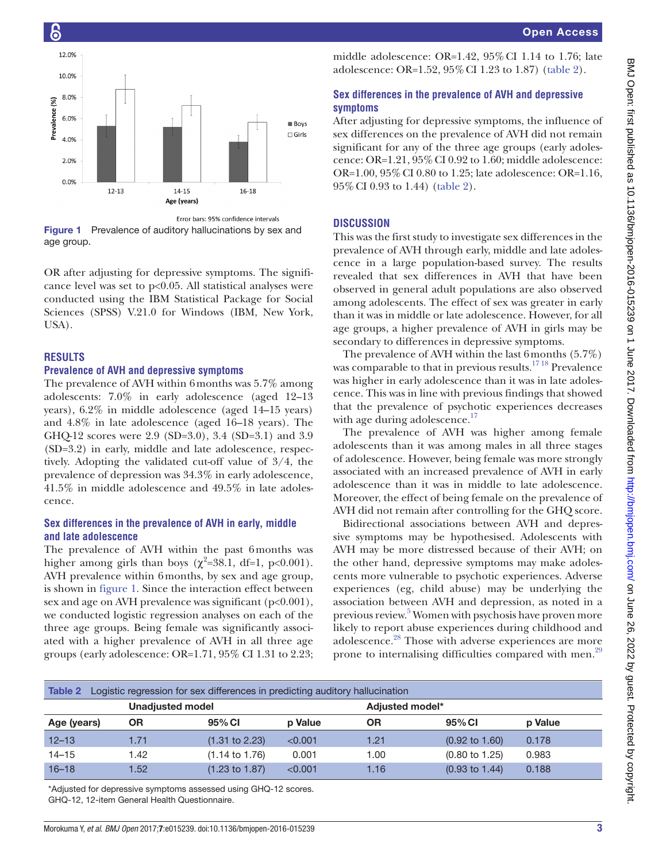

<span id="page-2-0"></span>Figure 1 Prevalence of auditory hallucinations by sex and age group.

OR after adjusting for depressive symptoms. The significance level was set to  $p<0.05$ . All statistical analyses were conducted using the IBM Statistical Package for Social Sciences (SPSS) V.21.0 for Windows (IBM, New York, USA).

#### **Results**

#### **Prevalence of AVH and depressive symptoms**

The prevalence of AVH within 6months was 5.7% among adolescents: 7.0% in early adolescence (aged 12–13 years), 6.2% in middle adolescence (aged 14–15 years) and 4.8% in late adolescence (aged 16–18 years). The GHQ-12 scores were 2.9 (SD=3.0), 3.4 (SD=3.1) and 3.9 (SD=3.2) in early, middle and late adolescence, respectively. Adopting the validated cut-off value of 3/4, the prevalence of depression was 34.3% in early adolescence, 41.5% in middle adolescence and 49.5% in late adolescence.

#### **Sex differences in the prevalence of AVH in early, middle and late adolescence**

The prevalence of AVH within the past 6months was higher among girls than boys ( $\chi^2$ =38.1, df=1, p<0.001). AVH prevalence within 6months, by sex and age group, is shown in [figure](#page-2-0) 1. Since the interaction effect between sex and age on AVH prevalence was significant (p<0.001), we conducted logistic regression analyses on each of the three age groups. Being female was significantly associated with a higher prevalence of AVH in all three age groups (early adolescence: OR=1.71, 95% CI 1.31 to 2.23;

middle adolescence: OR=1.42, 95%CI 1.14 to 1.76; late adolescence: OR=1.52, 95%CI 1.23 to 1.87) ([table](#page-2-1) 2).

#### **Sex differences in the prevalence of AVH and depressive symptoms**

After adjusting for depressive symptoms, the influence of sex differences on the prevalence of AVH did not remain significant for any of the three age groups (early adolescence: OR= $1.21$ ,  $95\%$  CI 0.92 to 1.60; middle adolescence: OR=1.00, 95%CI 0.80 to 1.25; late adolescence: OR=1.16, 95%CI 0.93 to 1.44) [\(table](#page-2-1) 2).

#### **Discussion**

This was the first study to investigate sex differences in the prevalence of AVH through early, middle and late adolescence in a large population-based survey. The results revealed that sex differences in AVH that have been observed in general adult populations are also observed among adolescents. The effect of sex was greater in early than it was in middle or late adolescence. However, for all age groups, a higher prevalence of AVH in girls may be secondary to differences in depressive symptoms.

The prevalence of AVH within the last 6months (5.7%) was comparable to that in previous results.<sup>1718</sup> Prevalence was higher in early adolescence than it was in late adolescence. This was in line with previous findings that showed that the prevalence of psychotic experiences decreases with age during adolescence.<sup>17</sup>

The prevalence of AVH was higher among female adolescents than it was among males in all three stages of adolescence. However, being female was more strongly associated with an increased prevalence of AVH in early adolescence than it was in middle to late adolescence. Moreover, the effect of being female on the prevalence of AVH did not remain after controlling for the GHQ score.

Bidirectional associations between AVH and depressive symptoms may be hypothesised. Adolescents with AVH may be more distressed because of their AVH; on the other hand, depressive symptoms may make adolescents more vulnerable to psychotic experiences. Adverse experiences (eg, child abuse) may be underlying the association between AVH and depression, as noted in a previous review.<sup>[5](#page-3-3)</sup> Women with psychosis have proven more likely to report abuse experiences during childhood and adolescence.<sup>[28](#page-4-8)</sup> Those with adverse experiences are more prone to internalising difficulties compared with men.<sup>[29](#page-4-9)</sup>

<span id="page-2-1"></span>

| Table 2<br>Logistic regression for sex differences in predicting auditory hallucination |                         |                           |         |      |                           |         |  |  |  |
|-----------------------------------------------------------------------------------------|-------------------------|---------------------------|---------|------|---------------------------|---------|--|--|--|
|                                                                                         | <b>Unadjusted model</b> |                           |         |      | Adjusted model*           |         |  |  |  |
| Age (years)                                                                             | ΟR                      | 95% CI                    | p Value | ΟR   | 95% CI                    | p Value |  |  |  |
| $12 - 13$                                                                               | 1.71                    | $(1.31 \text{ to } 2.23)$ | < 0.001 | 1.21 | $(0.92 \text{ to } 1.60)$ | 0.178   |  |  |  |
| $14 - 15$                                                                               | 1.42                    | $(1.14 \text{ to } 1.76)$ | 0.001   | 1.00 | $(0.80 \text{ to } 1.25)$ | 0.983   |  |  |  |
| $16 - 18$                                                                               | .52                     | $(1.23 \text{ to } 1.87)$ | < 0.001 | 1.16 | $(0.93 \text{ to } 1.44)$ | 0.188   |  |  |  |

\*Adjusted for depressive symptoms assessed using GHQ-12 scores. GHQ-12, 12-item General Health Questionnaire.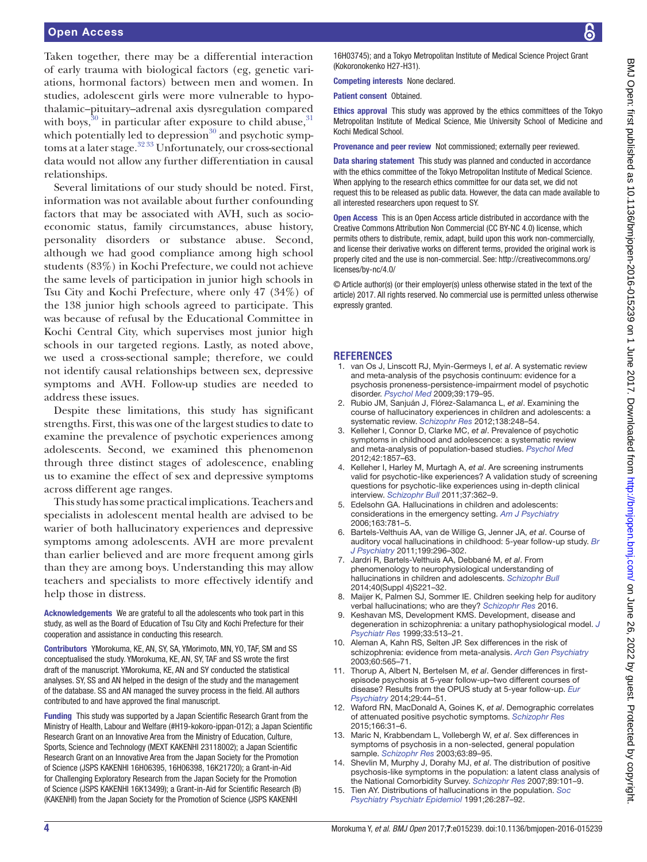Taken together, there may be a differential interaction of early trauma with biological factors (eg, genetic variations, hormonal factors) between men and women. In studies, adolescent girls were more vulnerable to hypothalamic–pituitary–adrenal axis dysregulation compared with boys, $30$  in particular after exposure to child abuse,  $31$ which potentially led to depression $30$  and psychotic symptoms at a later stage.<sup>32 33</sup> Unfortunately, our cross-sectional data would not allow any further differentiation in causal relationships.

Several limitations of our study should be noted. First, information was not available about further confounding factors that may be associated with AVH, such as socioeconomic status, family circumstances, abuse history, personality disorders or substance abuse. Second, although we had good compliance among high school students (83%) in Kochi Prefecture, we could not achieve the same levels of participation in junior high schools in Tsu City and Kochi Prefecture, where only 47 (34%) of the 138 junior high schools agreed to participate. This was because of refusal by the Educational Committee in Kochi Central City, which supervises most junior high schools in our targeted regions. Lastly, as noted above, we used a cross-sectional sample; therefore, we could not identify causal relationships between sex, depressive symptoms and AVH. Follow-up studies are needed to address these issues.

Despite these limitations, this study has significant strengths. First, this was one of the largest studies to date to examine the prevalence of psychotic experiences among adolescents. Second, we examined this phenomenon through three distinct stages of adolescence, enabling us to examine the effect of sex and depressive symptoms across different age ranges.

This study has some practical implications. Teachers and specialists in adolescent mental health are advised to be warier of both hallucinatory experiences and depressive symptoms among adolescents. AVH are more prevalent than earlier believed and are more frequent among girls than they are among boys. Understanding this may allow teachers and specialists to more effectively identify and help those in distress.

Acknowledgements We are grateful to all the adolescents who took part in this study, as well as the Board of Education of Tsu City and Kochi Prefecture for their cooperation and assistance in conducting this research.

Contributors YMorokuma, KE, AN, SY, SA, YMorimoto, MN, YO, TAF, SM and SS conceptualised the study. YMorokuma, KE, AN, SY, TAF and SS wrote the first draft of the manuscript. YMorokuma, KE, AN and SY conducted the statistical analyses. SY, SS and AN helped in the design of the study and the management of the database. SS and AN managed the survey process in the field. All authors contributed to and have approved the final manuscript.

Funding This study was supported by a Japan Scientific Research Grant from the Ministry of Health, Labour and Welfare (#H19-kokoro-ippan-012); a Japan Scientific Research Grant on an Innovative Area from the Ministry of Education, Culture, Sports, Science and Technology (MEXT KAKENHI 23118002); a Japan Scientific Research Grant on an Innovative Area from the Japan Society for the Promotion of Science (JSPS KAKENHI 16H06395, 16H06398, 16K21720); a Grant-in-Aid for Challenging Exploratory Research from the Japan Society for the Promotion of Science (JSPS KAKENHI 16K13499); a Grant-in-Aid for Scientific Research (B) (KAKENHI) from the Japan Society for the Promotion of Science (JSPS KAKENHI

16H03745); and a Tokyo Metropolitan Institute of Medical Science Project Grant (Kokoronokenko H27-H31).

Competing interests None declared.

Patient consent Obtained.

Ethics approval This study was approved by the ethics committees of the Tokyo Metropolitan Institute of Medical Science, Mie University School of Medicine and Kochi Medical School.

Provenance and peer review Not commissioned; externally peer reviewed.

Data sharing statement This study was planned and conducted in accordance with the ethics committee of the Tokyo Metropolitan Institute of Medical Science. When applying to the research ethics committee for our data set, we did not request this to be released as public data. However, the data can made available to all interested researchers upon request to SY.

Open Access This is an Open Access article distributed in accordance with the Creative Commons Attribution Non Commercial (CC BY-NC 4.0) license, which permits others to distribute, remix, adapt, build upon this work non-commercially, and license their derivative works on different terms, provided the original work is properly cited and the use is non-commercial. See: [http://creativecommons.org/](http://creativecommons.org/licenses/by-nc/4.0/) [licenses/by-nc/4.0/](http://creativecommons.org/licenses/by-nc/4.0/)

© Article author(s) (or their employer(s) unless otherwise stated in the text of the article) 2017. All rights reserved. No commercial use is permitted unless otherwise expressly granted.

#### **References**

- <span id="page-3-0"></span>1. van Os J, Linscott RJ, Myin-Germeys I, *et al*. A systematic review and meta-analysis of the psychosis continuum: evidence for a psychosis proneness-persistence-impairment model of psychotic disorder. *[Psychol Med](http://dx.doi.org/10.1017/S0033291708003814)* 2009;39:179–95.
- 2. Rubio JM, Sanjuán J, Flórez-Salamanca L, *et al*. Examining the course of hallucinatory experiences in children and adolescents: a systematic review. *[Schizophr Res](http://dx.doi.org/10.1016/j.schres.2012.03.012)* 2012;138:248–54.
- <span id="page-3-1"></span>3. Kelleher I, Connor D, Clarke MC, *et al*. Prevalence of psychotic symptoms in childhood and adolescence: a systematic review and meta-analysis of population-based studies. *[Psychol Med](http://dx.doi.org/10.1017/S0033291711002960)* 2012;42:1857–63.
- <span id="page-3-2"></span>4. Kelleher I, Harley M, Murtagh A, *et al*. Are screening instruments valid for psychotic-like experiences? A validation study of screening questions for psychotic-like experiences using in-depth clinical interview. *[Schizophr Bull](http://dx.doi.org/10.1093/schbul/sbp057)* 2011;37:362–9.
- <span id="page-3-3"></span>5. Edelsohn GA. Hallucinations in children and adolescents: considerations in the emergency setting. *[Am J Psychiatry](http://dx.doi.org/10.1176/ajp.2006.163.5.781)* 2006;163:781–5.
- <span id="page-3-4"></span>6. Bartels-Velthuis AA, van de Willige G, Jenner JA, *et al*. Course of auditory vocal hallucinations in childhood: 5-year follow-up study. *[Br](http://dx.doi.org/10.1192/bjp.bp.110.086918)  [J Psychiatry](http://dx.doi.org/10.1192/bjp.bp.110.086918)* 2011;199:296–302.
- <span id="page-3-5"></span>7. Jardri R, Bartels-Velthuis AA, Debbané M, *et al*. From phenomenology to neurophysiological understanding of hallucinations in children and adolescents. *[Schizophr Bull](http://dx.doi.org/10.1093/schbul/sbu029)* 2014;40(Suppl 4)S221–32.
- 8. Maijer K, Palmen SJ, Sommer IE. Children seeking help for auditory verbal hallucinations; who are they? *[Schizophr Res](http://dx.doi.org/10.1016/j.schres.2016.10.033)* 2016.
- <span id="page-3-6"></span>Keshavan MS, Development KMS. Development, disease and degeneration in schizophrenia: a unitary pathophysiological model. *[J](http://dx.doi.org/10.1016/S0022-3956(99)00033-3)  [Psychiatr Res](http://dx.doi.org/10.1016/S0022-3956(99)00033-3)* 1999;33:513–21.
- <span id="page-3-7"></span>10. Aleman A, Kahn RS, Selten JP. Sex differences in the risk of schizophrenia: evidence from meta-analysis. *[Arch Gen Psychiatry](http://dx.doi.org/10.1001/archpsyc.60.6.565)* 2003;60:565–71.
- <span id="page-3-8"></span>11. Thorup A, Albert N, Bertelsen M, *et al*. Gender differences in firstepisode psychosis at 5-year follow-up–two different courses of disease? Results from the OPUS study at 5-year follow-up. *[Eur](http://dx.doi.org/10.1016/j.eurpsy.2012.11.005)  [Psychiatry](http://dx.doi.org/10.1016/j.eurpsy.2012.11.005)* 2014;29:44–51.
- 12. Waford RN, MacDonald A, Goines K, *et al*. Demographic correlates of attenuated positive psychotic symptoms. *[Schizophr Res](http://dx.doi.org/10.1016/j.schres.2015.04.035)* 2015;166:31–6.
- <span id="page-3-9"></span>13. Maric N, Krabbendam L, Vollebergh W, *et al*. Sex differences in symptoms of psychosis in a non-selected, general population sample. *[Schizophr Res](http://dx.doi.org/10.1016/S0920-9964(02)00380-8)* 2003;63:89–95.
- <span id="page-3-10"></span>14. Shevlin M, Murphy J, Dorahy MJ, *et al*. The distribution of positive psychosis-like symptoms in the population: a latent class analysis of the National Comorbidity Survey. *[Schizophr Res](http://dx.doi.org/10.1016/j.schres.2006.09.014)* 2007;89:101–9.
- 15. Tien AY. Distributions of hallucinations in the population. *[Soc](http://dx.doi.org/10.1007/BF00789221)  [Psychiatry Psychiatr Epidemiol](http://dx.doi.org/10.1007/BF00789221)* 1991;26:287–92.